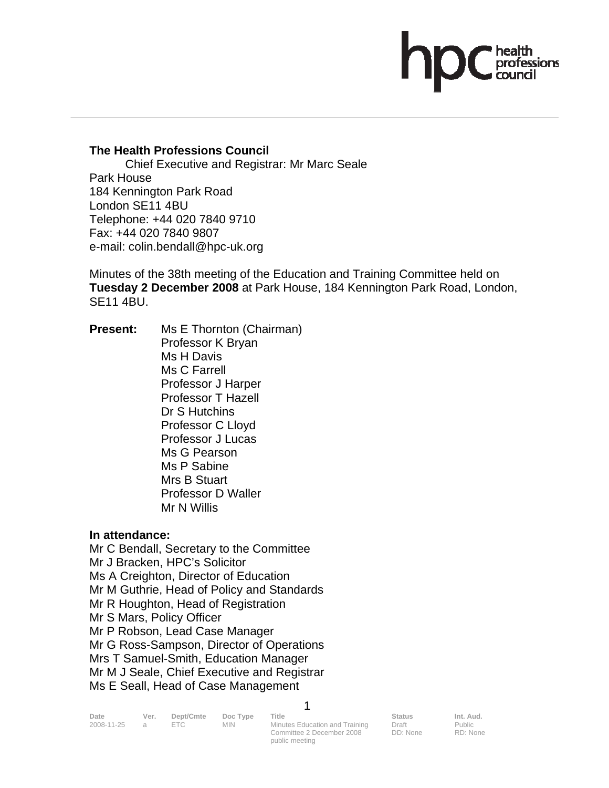## **The Health Professions Council**

 Chief Executive and Registrar: Mr Marc Seale Park House 184 Kennington Park Road London SE11 4BU Telephone: +44 020 7840 9710 Fax: +44 020 7840 9807 e-mail: colin.bendall@hpc-uk.org

Minutes of the 38th meeting of the Education and Training Committee held on **Tuesday 2 December 2008** at Park House, 184 Kennington Park Road, London, SE11 4BU.

**Present:** Ms E Thornton (Chairman) Professor K Bryan Ms H Davis Ms C Farrell Professor J Harper Professor T Hazell Dr S Hutchins Professor C Lloyd Professor J Lucas Ms G Pearson Ms P Sabine Mrs B Stuart Professor D Waller Mr N Willis

## **In attendance:**

Mr C Bendall, Secretary to the Committee Mr J Bracken, HPC's Solicitor Ms A Creighton, Director of Education Mr M Guthrie, Head of Policy and Standards Mr R Houghton, Head of Registration Mr S Mars, Policy Officer Mr P Robson, Lead Case Manager Mr G Ross-Sampson, Director of Operations Mrs T Samuel-Smith, Education Manager Mr M J Seale, Chief Executive and Registrar Ms E Seall, Head of Case Management

| Date       | Ver. | Dept/Cmte  | Doc Type | Title                          | Status   | Int. Aud. |
|------------|------|------------|----------|--------------------------------|----------|-----------|
| 2008-11-25 |      | $=$ $\Box$ | MIN.     | Minutes Education and Training | Draft    | Public    |
|            |      |            |          | Committee 2 December 2008      | DD: None | RD: None  |

1

public meeting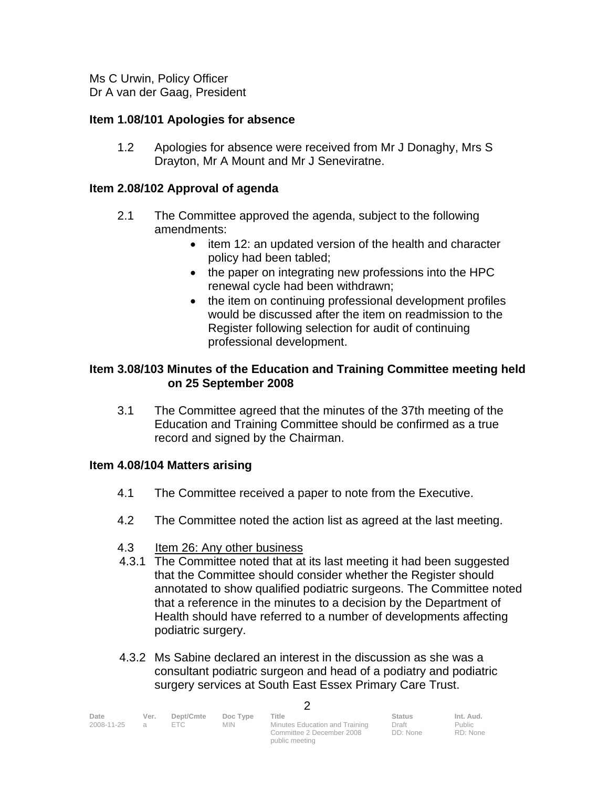Ms C Urwin, Policy Officer Dr A van der Gaag, President

## **Item 1.08/101 Apologies for absence**

1.2 Apologies for absence were received from Mr J Donaghy, Mrs S Drayton, Mr A Mount and Mr J Seneviratne.

## **Item 2.08/102 Approval of agenda**

- 2.1 The Committee approved the agenda, subject to the following amendments:
	- item 12: an updated version of the health and character policy had been tabled;
	- the paper on integrating new professions into the HPC renewal cycle had been withdrawn;
	- the item on continuing professional development profiles would be discussed after the item on readmission to the Register following selection for audit of continuing professional development.

## **Item 3.08/103 Minutes of the Education and Training Committee meeting held on 25 September 2008**

 3.1 The Committee agreed that the minutes of the 37th meeting of the Education and Training Committee should be confirmed as a true record and signed by the Chairman.

## **Item 4.08/104 Matters arising**

- 4.1 The Committee received a paper to note from the Executive.
- 4.2 The Committee noted the action list as agreed at the last meeting.
- 4.3 Item 26: Any other business
- 4.3.1 The Committee noted that at its last meeting it had been suggested that the Committee should consider whether the Register should annotated to show qualified podiatric surgeons. The Committee noted that a reference in the minutes to a decision by the Department of Health should have referred to a number of developments affecting podiatric surgery.
- 4.3.2 Ms Sabine declared an interest in the discussion as she was a consultant podiatric surgeon and head of a podiatry and podiatric surgery services at South East Essex Primary Care Trust.

 $\mathcal{D}$ 

| Date<br>2008-11-25 | Ver. | Dept/Cmte<br>FTC. | Doc Type<br><b>MIN</b> | Title<br>Minutes Education and Training<br>Committee 2 December 2008 | <b>Status</b><br>Draft<br>DD: None | Int. Aud.<br>Public<br>RD: None |
|--------------------|------|-------------------|------------------------|----------------------------------------------------------------------|------------------------------------|---------------------------------|
|                    |      |                   |                        | public meeting                                                       |                                    |                                 |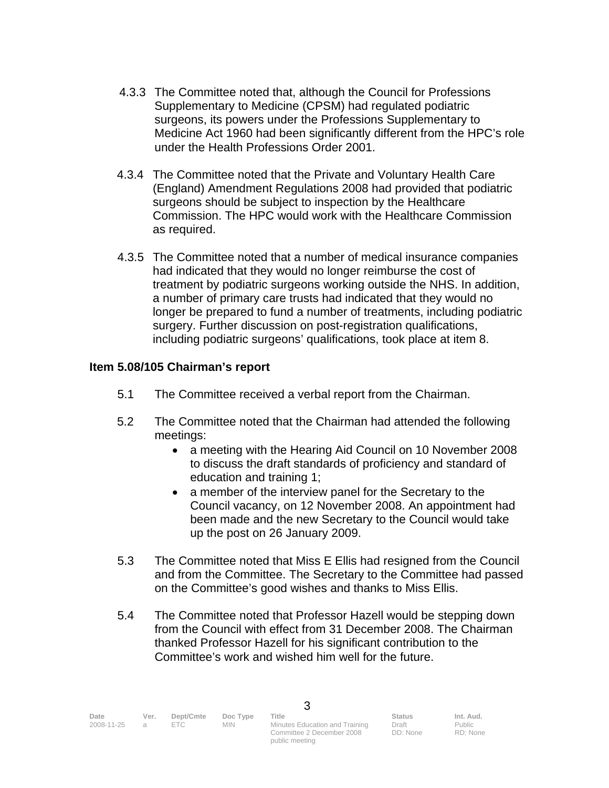- 4.3.3 The Committee noted that, although the Council for Professions Supplementary to Medicine (CPSM) had regulated podiatric surgeons, its powers under the Professions Supplementary to Medicine Act 1960 had been significantly different from the HPC's role under the Health Professions Order 2001.
- 4.3.4 The Committee noted that the Private and Voluntary Health Care (England) Amendment Regulations 2008 had provided that podiatric surgeons should be subject to inspection by the Healthcare Commission. The HPC would work with the Healthcare Commission as required.
- 4.3.5 The Committee noted that a number of medical insurance companies had indicated that they would no longer reimburse the cost of treatment by podiatric surgeons working outside the NHS. In addition, a number of primary care trusts had indicated that they would no longer be prepared to fund a number of treatments, including podiatric surgery. Further discussion on post-registration qualifications, including podiatric surgeons' qualifications, took place at item 8.

## **Item 5.08/105 Chairman's report**

- 5.1 The Committee received a verbal report from the Chairman.
- 5.2 The Committee noted that the Chairman had attended the following meetings:
	- a meeting with the Hearing Aid Council on 10 November 2008 to discuss the draft standards of proficiency and standard of education and training 1;
	- a member of the interview panel for the Secretary to the Council vacancy, on 12 November 2008. An appointment had been made and the new Secretary to the Council would take up the post on 26 January 2009.
- 5.3 The Committee noted that Miss E Ellis had resigned from the Council and from the Committee. The Secretary to the Committee had passed on the Committee's good wishes and thanks to Miss Ellis.
- 5.4 The Committee noted that Professor Hazell would be stepping down from the Council with effect from 31 December 2008. The Chairman thanked Professor Hazell for his significant contribution to the Committee's work and wished him well for the future.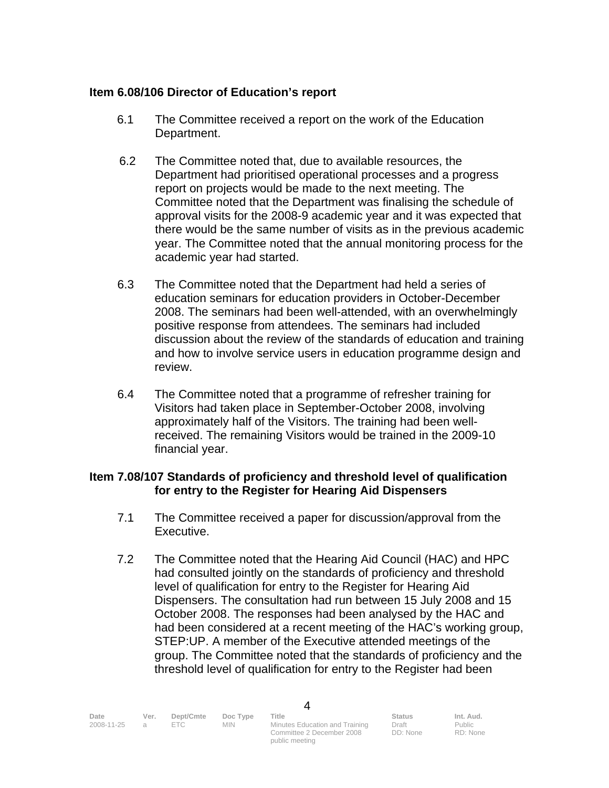## **Item 6.08/106 Director of Education's report**

- 6.1 The Committee received a report on the work of the Education Department.
- 6.2 The Committee noted that, due to available resources, the Department had prioritised operational processes and a progress report on projects would be made to the next meeting. The Committee noted that the Department was finalising the schedule of approval visits for the 2008-9 academic year and it was expected that there would be the same number of visits as in the previous academic year. The Committee noted that the annual monitoring process for the academic year had started.
- 6.3 The Committee noted that the Department had held a series of education seminars for education providers in October-December 2008. The seminars had been well-attended, with an overwhelmingly positive response from attendees. The seminars had included discussion about the review of the standards of education and training and how to involve service users in education programme design and review.
- 6.4 The Committee noted that a programme of refresher training for Visitors had taken place in September-October 2008, involving approximately half of the Visitors. The training had been wellreceived. The remaining Visitors would be trained in the 2009-10 financial year.

## **Item 7.08/107 Standards of proficiency and threshold level of qualification for entry to the Register for Hearing Aid Dispensers**

- 7.1 The Committee received a paper for discussion/approval from the Executive.
- 7.2 The Committee noted that the Hearing Aid Council (HAC) and HPC had consulted jointly on the standards of proficiency and threshold level of qualification for entry to the Register for Hearing Aid Dispensers. The consultation had run between 15 July 2008 and 15 October 2008. The responses had been analysed by the HAC and had been considered at a recent meeting of the HAC's working group, STEP:UP. A member of the Executive attended meetings of the group. The Committee noted that the standards of proficiency and the threshold level of qualification for entry to the Register had been

4

2008-11-25 a ETC MIN Minutes Education and Training Committee 2 December 2008 public meeting

Draft DD: None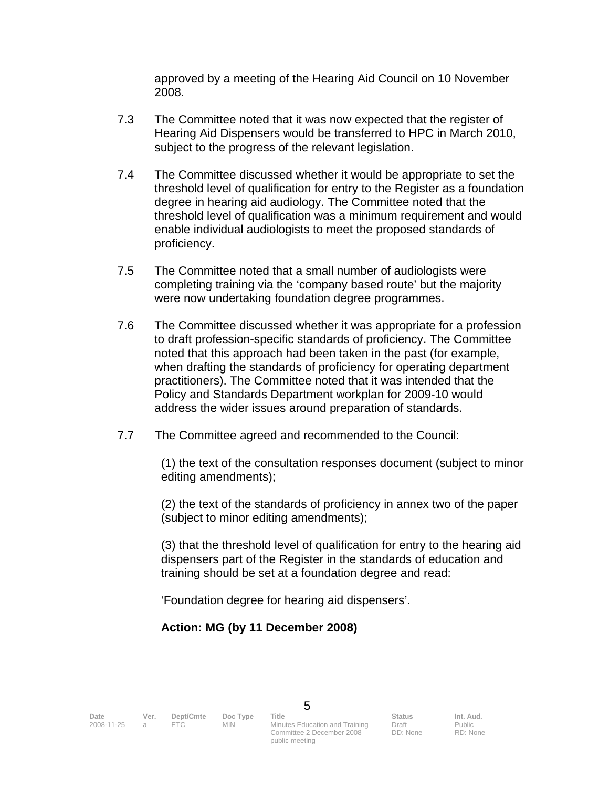approved by a meeting of the Hearing Aid Council on 10 November 2008.

- 7.3 The Committee noted that it was now expected that the register of Hearing Aid Dispensers would be transferred to HPC in March 2010, subject to the progress of the relevant legislation.
- 7.4 The Committee discussed whether it would be appropriate to set the threshold level of qualification for entry to the Register as a foundation degree in hearing aid audiology. The Committee noted that the threshold level of qualification was a minimum requirement and would enable individual audiologists to meet the proposed standards of proficiency.
- 7.5 The Committee noted that a small number of audiologists were completing training via the 'company based route' but the majority were now undertaking foundation degree programmes.
- 7.6 The Committee discussed whether it was appropriate for a profession to draft profession-specific standards of proficiency. The Committee noted that this approach had been taken in the past (for example, when drafting the standards of proficiency for operating department practitioners). The Committee noted that it was intended that the Policy and Standards Department workplan for 2009-10 would address the wider issues around preparation of standards.
- 7.7 The Committee agreed and recommended to the Council:

(1) the text of the consultation responses document (subject to minor editing amendments);

(2) the text of the standards of proficiency in annex two of the paper (subject to minor editing amendments);

(3) that the threshold level of qualification for entry to the hearing aid dispensers part of the Register in the standards of education and training should be set at a foundation degree and read:

'Foundation degree for hearing aid dispensers'.

# **Action: MG (by 11 December 2008)**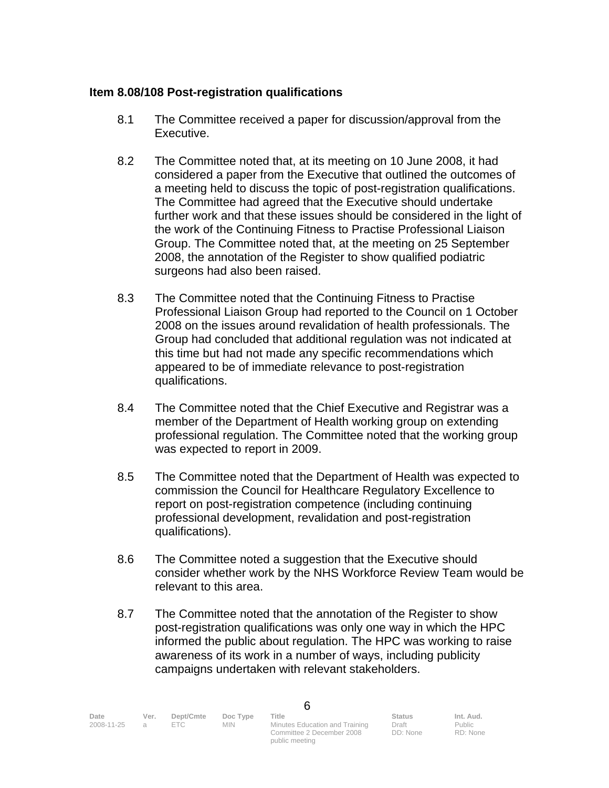## **Item 8.08/108 Post-registration qualifications**

- 8.1 The Committee received a paper for discussion/approval from the Executive.
- 8.2 The Committee noted that, at its meeting on 10 June 2008, it had considered a paper from the Executive that outlined the outcomes of a meeting held to discuss the topic of post-registration qualifications. The Committee had agreed that the Executive should undertake further work and that these issues should be considered in the light of the work of the Continuing Fitness to Practise Professional Liaison Group. The Committee noted that, at the meeting on 25 September 2008, the annotation of the Register to show qualified podiatric surgeons had also been raised.
- 8.3 The Committee noted that the Continuing Fitness to Practise Professional Liaison Group had reported to the Council on 1 October 2008 on the issues around revalidation of health professionals. The Group had concluded that additional regulation was not indicated at this time but had not made any specific recommendations which appeared to be of immediate relevance to post-registration qualifications.
- 8.4 The Committee noted that the Chief Executive and Registrar was a member of the Department of Health working group on extending professional regulation. The Committee noted that the working group was expected to report in 2009.
- 8.5 The Committee noted that the Department of Health was expected to commission the Council for Healthcare Regulatory Excellence to report on post-registration competence (including continuing professional development, revalidation and post-registration qualifications).
- 8.6 The Committee noted a suggestion that the Executive should consider whether work by the NHS Workforce Review Team would be relevant to this area.
- 8.7 The Committee noted that the annotation of the Register to show post-registration qualifications was only one way in which the HPC informed the public about regulation. The HPC was working to raise awareness of its work in a number of ways, including publicity campaigns undertaken with relevant stakeholders.

6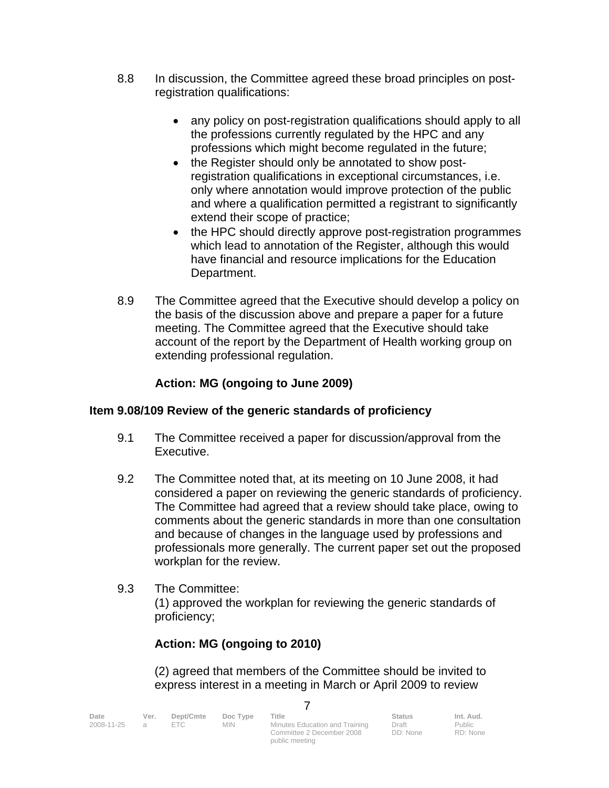- 8.8 In discussion, the Committee agreed these broad principles on postregistration qualifications:
	- any policy on post-registration qualifications should apply to all the professions currently regulated by the HPC and any professions which might become regulated in the future;
	- the Register should only be annotated to show postregistration qualifications in exceptional circumstances, i.e. only where annotation would improve protection of the public and where a qualification permitted a registrant to significantly extend their scope of practice;
	- the HPC should directly approve post-registration programmes which lead to annotation of the Register, although this would have financial and resource implications for the Education Department.
- 8.9 The Committee agreed that the Executive should develop a policy on the basis of the discussion above and prepare a paper for a future meeting. The Committee agreed that the Executive should take account of the report by the Department of Health working group on extending professional regulation.

# **Action: MG (ongoing to June 2009)**

# **Item 9.08/109 Review of the generic standards of proficiency**

- 9.1 The Committee received a paper for discussion/approval from the Executive.
- 9.2 The Committee noted that, at its meeting on 10 June 2008, it had considered a paper on reviewing the generic standards of proficiency. The Committee had agreed that a review should take place, owing to comments about the generic standards in more than one consultation and because of changes in the language used by professions and professionals more generally. The current paper set out the proposed workplan for the review.
- 9.3 The Committee: (1) approved the workplan for reviewing the generic standards of proficiency;

# **Action: MG (ongoing to 2010)**

 (2) agreed that members of the Committee should be invited to express interest in a meeting in March or April 2009 to review

public meeting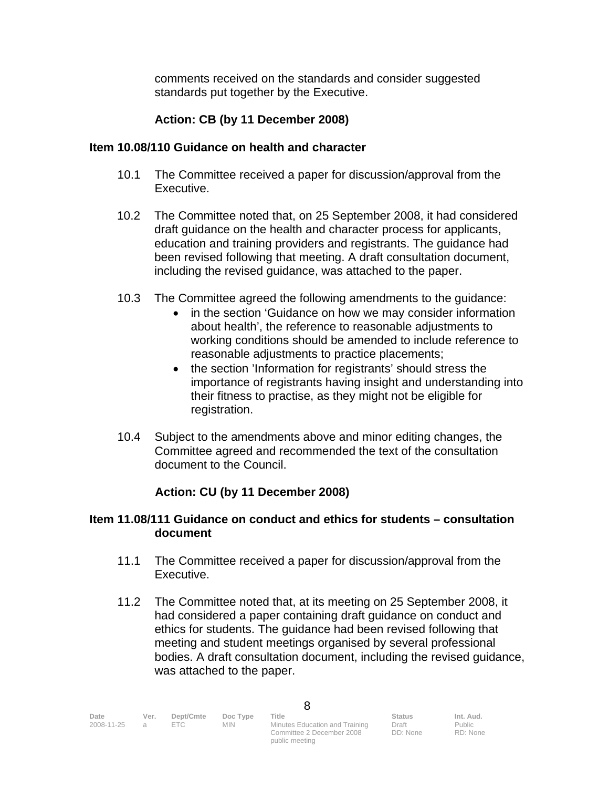comments received on the standards and consider suggested standards put together by the Executive.

# **Action: CB (by 11 December 2008)**

## **Item 10.08/110 Guidance on health and character**

- 10.1 The Committee received a paper for discussion/approval from the Executive.
- 10.2 The Committee noted that, on 25 September 2008, it had considered draft guidance on the health and character process for applicants, education and training providers and registrants. The guidance had been revised following that meeting. A draft consultation document, including the revised guidance, was attached to the paper.
- 10.3 The Committee agreed the following amendments to the guidance:
	- in the section 'Guidance on how we may consider information about health', the reference to reasonable adjustments to working conditions should be amended to include reference to reasonable adjustments to practice placements;
	- the section 'Information for registrants' should stress the importance of registrants having insight and understanding into their fitness to practise, as they might not be eligible for registration.
- 10.4 Subject to the amendments above and minor editing changes, the Committee agreed and recommended the text of the consultation document to the Council.

# **Action: CU (by 11 December 2008)**

## **Item 11.08/111 Guidance on conduct and ethics for students – consultation document**

- 11.1 The Committee received a paper for discussion/approval from the Executive.
- 11.2 The Committee noted that, at its meeting on 25 September 2008, it had considered a paper containing draft guidance on conduct and ethics for students. The guidance had been revised following that meeting and student meetings organised by several professional bodies. A draft consultation document, including the revised guidance, was attached to the paper.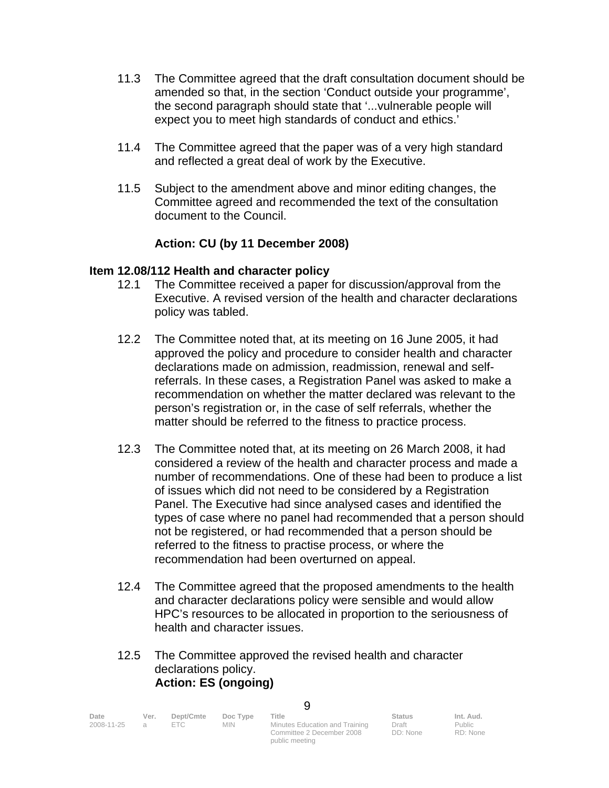- 11.3 The Committee agreed that the draft consultation document should be amended so that, in the section 'Conduct outside your programme', the second paragraph should state that '...vulnerable people will expect you to meet high standards of conduct and ethics.'
- 11.4 The Committee agreed that the paper was of a very high standard and reflected a great deal of work by the Executive.
- 11.5 Subject to the amendment above and minor editing changes, the Committee agreed and recommended the text of the consultation document to the Council.

# **Action: CU (by 11 December 2008)**

#### **Item 12.08/112 Health and character policy**

- 12.1 The Committee received a paper for discussion/approval from the Executive. A revised version of the health and character declarations policy was tabled.
- 12.2 The Committee noted that, at its meeting on 16 June 2005, it had approved the policy and procedure to consider health and character declarations made on admission, readmission, renewal and selfreferrals. In these cases, a Registration Panel was asked to make a recommendation on whether the matter declared was relevant to the person's registration or, in the case of self referrals, whether the matter should be referred to the fitness to practice process.
- 12.3 The Committee noted that, at its meeting on 26 March 2008, it had considered a review of the health and character process and made a number of recommendations. One of these had been to produce a list of issues which did not need to be considered by a Registration Panel. The Executive had since analysed cases and identified the types of case where no panel had recommended that a person should not be registered, or had recommended that a person should be referred to the fitness to practise process, or where the recommendation had been overturned on appeal.
- 12.4 The Committee agreed that the proposed amendments to the health and character declarations policy were sensible and would allow HPC's resources to be allocated in proportion to the seriousness of health and character issues.

#### 12.5 The Committee approved the revised health and character declarations policy. **Action: ES (ongoing)**

| Date<br>2008-11-25 | Ver. | Dept/Cmte<br>FTC | Doc Type<br>MIN. | Title<br>Minutes Education and Training | <b>Status</b><br>Draft | Int. Aud.<br>Public |
|--------------------|------|------------------|------------------|-----------------------------------------|------------------------|---------------------|
|                    |      |                  |                  | Committee 2 December 2008               | DD: None               | RD: None            |
|                    |      |                  |                  | public meeting                          |                        |                     |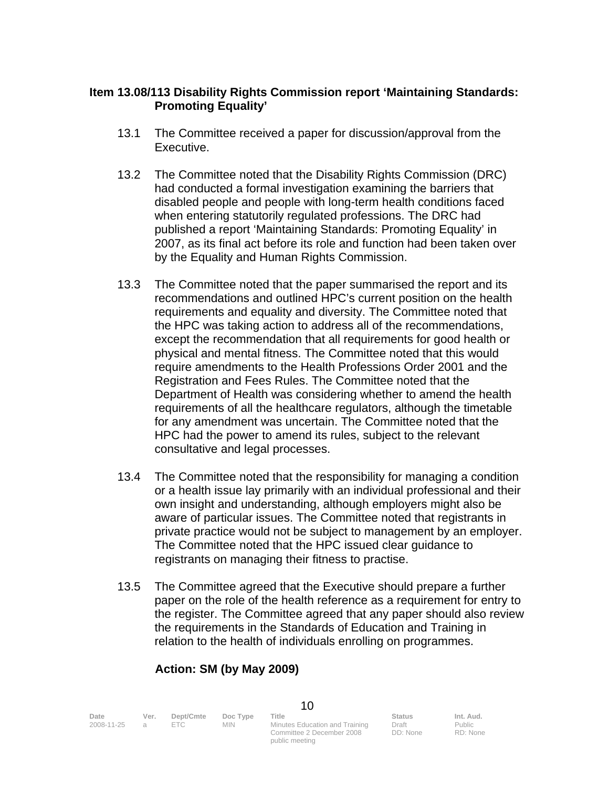## **Item 13.08/113 Disability Rights Commission report 'Maintaining Standards: Promoting Equality'**

- 13.1 The Committee received a paper for discussion/approval from the Executive.
- 13.2 The Committee noted that the Disability Rights Commission (DRC) had conducted a formal investigation examining the barriers that disabled people and people with long-term health conditions faced when entering statutorily regulated professions. The DRC had published a report 'Maintaining Standards: Promoting Equality' in 2007, as its final act before its role and function had been taken over by the Equality and Human Rights Commission.
- 13.3 The Committee noted that the paper summarised the report and its recommendations and outlined HPC's current position on the health requirements and equality and diversity. The Committee noted that the HPC was taking action to address all of the recommendations, except the recommendation that all requirements for good health or physical and mental fitness. The Committee noted that this would require amendments to the Health Professions Order 2001 and the Registration and Fees Rules. The Committee noted that the Department of Health was considering whether to amend the health requirements of all the healthcare regulators, although the timetable for any amendment was uncertain. The Committee noted that the HPC had the power to amend its rules, subject to the relevant consultative and legal processes.
- 13.4 The Committee noted that the responsibility for managing a condition or a health issue lay primarily with an individual professional and their own insight and understanding, although employers might also be aware of particular issues. The Committee noted that registrants in private practice would not be subject to management by an employer. The Committee noted that the HPC issued clear guidance to registrants on managing their fitness to practise.
- 13.5 The Committee agreed that the Executive should prepare a further paper on the role of the health reference as a requirement for entry to the register. The Committee agreed that any paper should also review the requirements in the Standards of Education and Training in relation to the health of individuals enrolling on programmes.

# **Action: SM (by May 2009)**

public meeting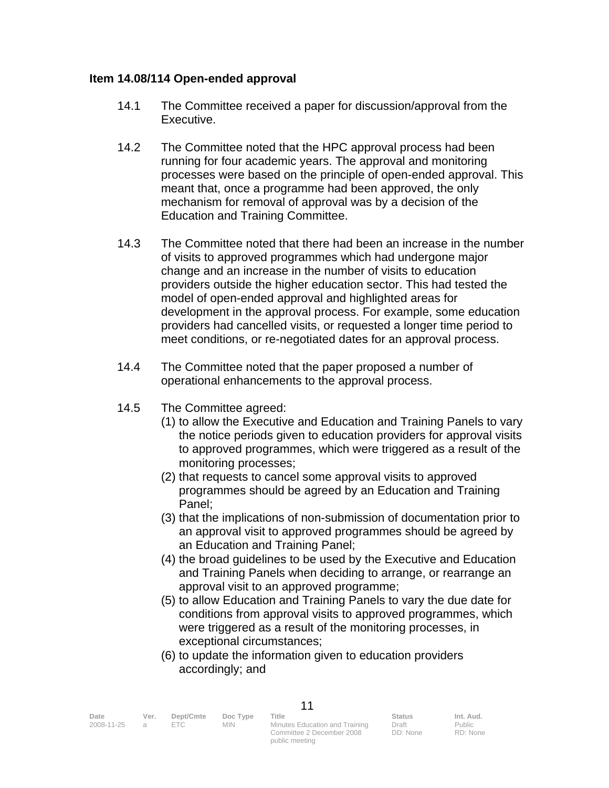#### **Item 14.08/114 Open-ended approval**

- 14.1 The Committee received a paper for discussion/approval from the Executive.
- 14.2 The Committee noted that the HPC approval process had been running for four academic years. The approval and monitoring processes were based on the principle of open-ended approval. This meant that, once a programme had been approved, the only mechanism for removal of approval was by a decision of the Education and Training Committee.
- 14.3 The Committee noted that there had been an increase in the number of visits to approved programmes which had undergone major change and an increase in the number of visits to education providers outside the higher education sector. This had tested the model of open-ended approval and highlighted areas for development in the approval process. For example, some education providers had cancelled visits, or requested a longer time period to meet conditions, or re-negotiated dates for an approval process.
- 14.4 The Committee noted that the paper proposed a number of operational enhancements to the approval process.
- 14.5 The Committee agreed:
	- (1) to allow the Executive and Education and Training Panels to vary the notice periods given to education providers for approval visits to approved programmes, which were triggered as a result of the monitoring processes;
	- (2) that requests to cancel some approval visits to approved programmes should be agreed by an Education and Training Panel;
	- (3) that the implications of non-submission of documentation prior to an approval visit to approved programmes should be agreed by an Education and Training Panel;
	- (4) the broad guidelines to be used by the Executive and Education and Training Panels when deciding to arrange, or rearrange an approval visit to an approved programme;
	- (5) to allow Education and Training Panels to vary the due date for conditions from approval visits to approved programmes, which were triggered as a result of the monitoring processes, in exceptional circumstances;
	- (6) to update the information given to education providers accordingly; and

11

public meeting

| Date       | Ver. | Dept/Cmte | Doc Type | Title                          | <b>Status</b> | Int. Aud. |
|------------|------|-----------|----------|--------------------------------|---------------|-----------|
| 2008-11-25 |      | FTC.      | MIN.     | Minutes Education and Training | Draft         | Public    |
|            |      |           |          | Committee 2 December 2008      | DD: None      | RD: None  |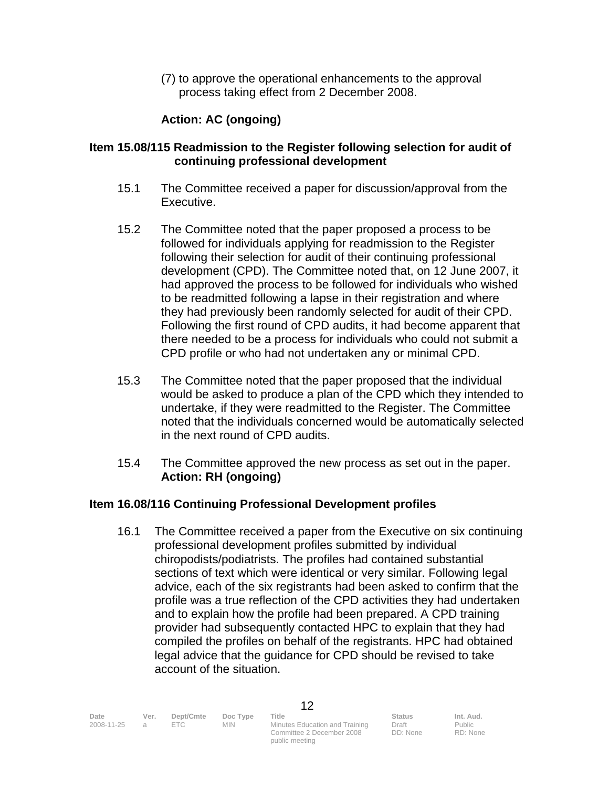(7) to approve the operational enhancements to the approval process taking effect from 2 December 2008.

# **Action: AC (ongoing)**

## **Item 15.08/115 Readmission to the Register following selection for audit of continuing professional development**

- 15.1 The Committee received a paper for discussion/approval from the Executive.
- 15.2 The Committee noted that the paper proposed a process to be followed for individuals applying for readmission to the Register following their selection for audit of their continuing professional development (CPD). The Committee noted that, on 12 June 2007, it had approved the process to be followed for individuals who wished to be readmitted following a lapse in their registration and where they had previously been randomly selected for audit of their CPD. Following the first round of CPD audits, it had become apparent that there needed to be a process for individuals who could not submit a CPD profile or who had not undertaken any or minimal CPD.
- 15.3 The Committee noted that the paper proposed that the individual would be asked to produce a plan of the CPD which they intended to undertake, if they were readmitted to the Register. The Committee noted that the individuals concerned would be automatically selected in the next round of CPD audits.
- 15.4 The Committee approved the new process as set out in the paper.  **Action: RH (ongoing)**

## **Item 16.08/116 Continuing Professional Development profiles**

 16.1 The Committee received a paper from the Executive on six continuing professional development profiles submitted by individual chiropodists/podiatrists. The profiles had contained substantial sections of text which were identical or very similar. Following legal advice, each of the six registrants had been asked to confirm that the profile was a true reflection of the CPD activities they had undertaken and to explain how the profile had been prepared. A CPD training provider had subsequently contacted HPC to explain that they had compiled the profiles on behalf of the registrants. HPC had obtained legal advice that the guidance for CPD should be revised to take account of the situation.

Date Ver. Dept/Cmte Doc<sup>Type</sup> Title **Status Int. Aud.** Decrember Doc Type Title

2008-11-25 a ETC MIN Minutes Education and Training Committee 2 December 2008 public meeting

Draft DD: None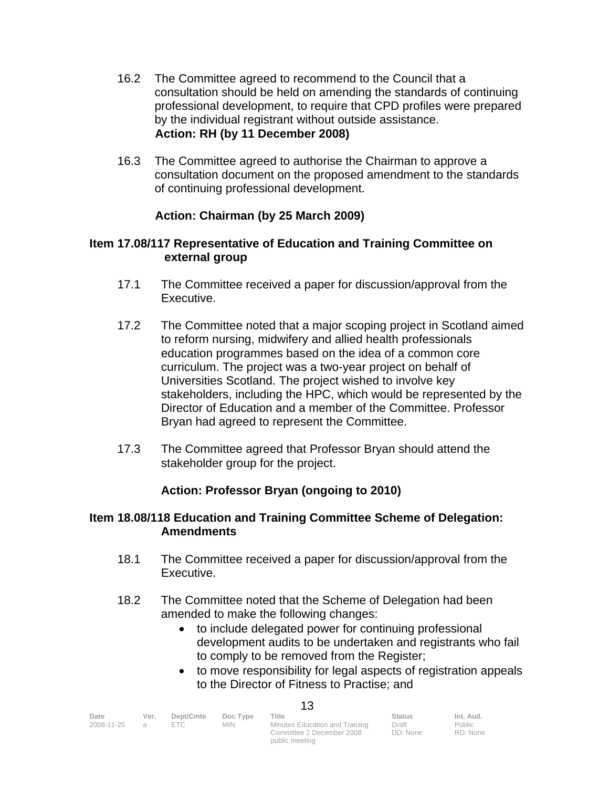- 16.2 The Committee agreed to recommend to the Council that a consultation should be held on amending the standards of continuing professional development, to require that CPD profiles were prepared by the individual registrant without outside assistance. **Action: RH (by 11 December 2008)**
- 16.3 The Committee agreed to authorise the Chairman to approve a consultation document on the proposed amendment to the standards of continuing professional development.

# **Action: Chairman (by 25 March 2009)**

## **Item 17.08/117 Representative of Education and Training Committee on external group**

- 17.1 The Committee received a paper for discussion/approval from the Executive.
- 17.2 The Committee noted that a major scoping project in Scotland aimed to reform nursing, midwifery and allied health professionals education programmes based on the idea of a common core curriculum. The project was a two-year project on behalf of Universities Scotland. The project wished to involve key stakeholders, including the HPC, which would be represented by the Director of Education and a member of the Committee. Professor Bryan had agreed to represent the Committee.
- 17.3 The Committee agreed that Professor Bryan should attend the stakeholder group for the project.

# **Action: Professor Bryan (ongoing to 2010)**

## **Item 18.08/118 Education and Training Committee Scheme of Delegation: Amendments**

- 18.1 The Committee received a paper for discussion/approval from the Executive.
- 18.2 The Committee noted that the Scheme of Delegation had been amended to make the following changes:
	- to include delegated power for continuing professional development audits to be undertaken and registrants who fail to comply to be removed from the Register;
	- to move responsibility for legal aspects of registration appeals to the Director of Fitness to Practise; and

| Date       | Ver.          | Dept/Cmte | Doc Type   | Title                                                       | <b>Status</b>     | Int. Aud.          |  |
|------------|---------------|-----------|------------|-------------------------------------------------------------|-------------------|--------------------|--|
| 2008-11-25 | $\mathcal{A}$ | F C       | <b>MIN</b> | Minutes Education and Training<br>Committee 2 December 2008 | Draft<br>DD: None | Public<br>RD: None |  |
|            |               |           |            | public meeting                                              |                   |                    |  |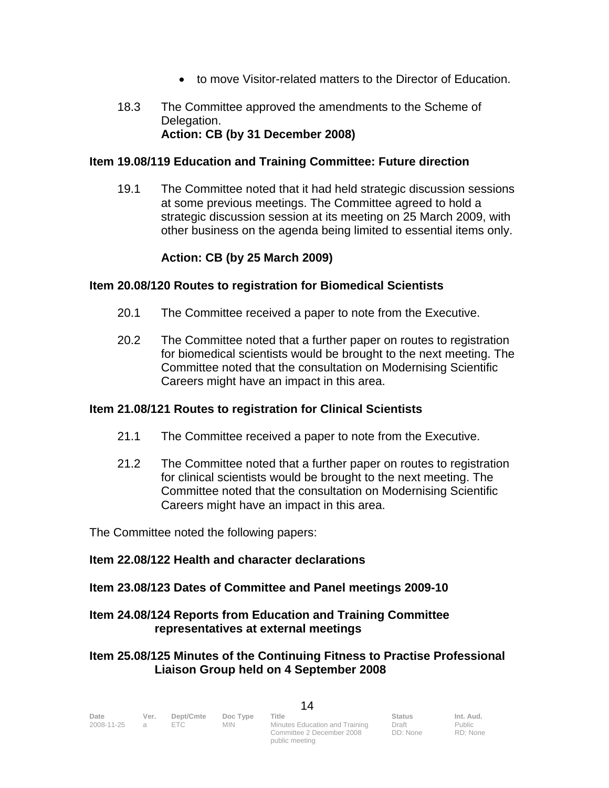- to move Visitor-related matters to the Director of Education.
- 18.3 The Committee approved the amendments to the Scheme of Delegation.  **Action: CB (by 31 December 2008)**

## **Item 19.08/119 Education and Training Committee: Future direction**

19.1 The Committee noted that it had held strategic discussion sessions at some previous meetings. The Committee agreed to hold a strategic discussion session at its meeting on 25 March 2009, with other business on the agenda being limited to essential items only.

## **Action: CB (by 25 March 2009)**

## **Item 20.08/120 Routes to registration for Biomedical Scientists**

- 20.1 The Committee received a paper to note from the Executive.
- 20.2 The Committee noted that a further paper on routes to registration for biomedical scientists would be brought to the next meeting. The Committee noted that the consultation on Modernising Scientific Careers might have an impact in this area.

## **Item 21.08/121 Routes to registration for Clinical Scientists**

- 21.1 The Committee received a paper to note from the Executive.
- 21.2 The Committee noted that a further paper on routes to registration for clinical scientists would be brought to the next meeting. The Committee noted that the consultation on Modernising Scientific Careers might have an impact in this area.

The Committee noted the following papers:

## **Item 22.08/122 Health and character declarations**

## **Item 23.08/123 Dates of Committee and Panel meetings 2009-10**

## **Item 24.08/124 Reports from Education and Training Committee representatives at external meetings**

## **Item 25.08/125 Minutes of the Continuing Fitness to Practise Professional Liaison Group held on 4 September 2008**

public meeting